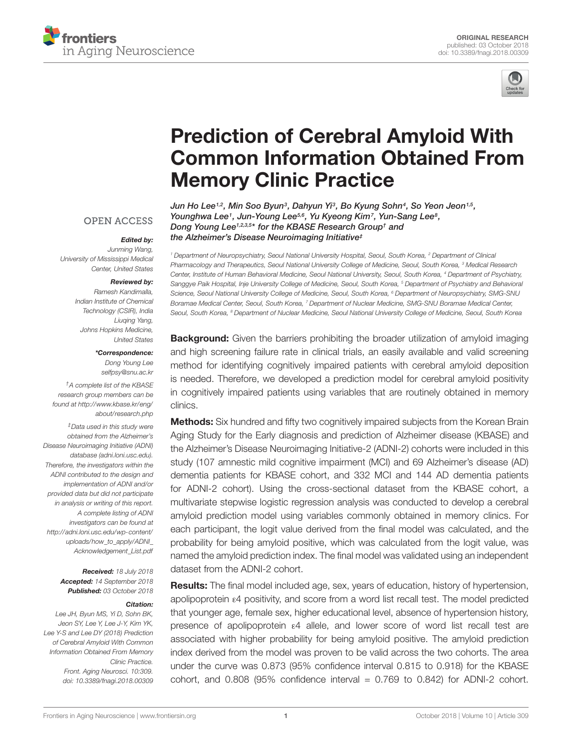



# Prediction of Cerebral Amyloid With [Common Information Obtained From](https://www.frontiersin.org/articles/10.3389/fnagi.2018.00309/full) Memory Clinic Practice

[Jun Ho Lee](http://loop.frontiersin.org/people/358532/overview) $^{1,2}$ , [Min Soo Byun](http://loop.frontiersin.org/people/256009/overview) $^3$ , [Dahyun Yi](http://loop.frontiersin.org/people/174560/overview) $^3$ , Bo Kyung Sohn $^4$ , So Yeon Jeon $^{1,5},$ Younghwa Lee<sup>1</sup>, [Jun-Young Lee](http://loop.frontiersin.org/people/435803/overview)<sup>5,6</sup>, Yu Kyeong Kim<sup>7</sup>, [Yun-Sang Lee](http://loop.frontiersin.org/people/281766/overview)<sup>8</sup>, [Dong Young Lee](http://loop.frontiersin.org/people/50654/overview)<sup>1,2,3,5\*</sup> for the KBASE Research Group† and the Alzheimer's Disease Neuroimaging Initiative‡

# **OPEN ACCESS** Edited by:

Center, United States

Junming Wang, University of Mississippi Medical

#### Reviewed by:

Ramesh Kandimalla, Indian Institute of Chemical Technology (CSIR), India Liuqing Yang, Johns Hopkins Medicine, United States

> \*Correspondence: Dong Young Lee selfpsy@snu.ac.kr

†A complete list of the KBASE research group members can be found at [http://www.kbase.kr/eng/](http://www.kbase.kr/eng/about/research.php) [about/research.php](http://www.kbase.kr/eng/about/research.php)

‡Data used in this study were obtained from the Alzheimer's Disease Neuroimaging Initiative (ADNI) database [\(adni.loni.usc.edu\)](http://adni.loni.usc.edu). Therefore, the investigators within the ADNI contributed to the design and implementation of ADNI and/or provided data but did not participate in analysis or writing of this report. A complete listing of ADNI investigators can be found at [http://adni.loni.usc.edu/wp-content/](http://adni.loni.usc.edu/wp-content/uploads/how_to_apply/ADNI_Acknowledgement_List.pdf) [uploads/how\\_to\\_apply/ADNI\\_](http://adni.loni.usc.edu/wp-content/uploads/how_to_apply/ADNI_Acknowledgement_List.pdf) [Acknowledgement\\_List.pdf](http://adni.loni.usc.edu/wp-content/uploads/how_to_apply/ADNI_Acknowledgement_List.pdf)

> Received: 18 July 2018 Accepted: 14 September 2018 Published: 03 October 2018

#### Citation:

Lee JH, Byun MS, Yi D, Sohn BK, Jeon SY, Lee Y, Lee J-Y, Kim YK, Lee Y-S and Lee DY (2018) Prediction of Cerebral Amyloid With Common Information Obtained From Memory Clinic Practice. Front. Aging Neurosci. 10:309. doi: [10.3389/fnagi.2018.00309](https://doi.org/10.3389/fnagi.2018.00309) <sup>1</sup> Department of Neuropsychiatry, Seoul National University Hospital, Seoul, South Korea, <sup>2</sup> Department of Clinical Pharmacology and Therapeutics, Seoul National University College of Medicine, Seoul, South Korea, <sup>3</sup> Medical Research Center, Institute of Human Behavioral Medicine, Seoul National University, Seoul, South Korea, <sup>4</sup> Department of Psychiatry, Sanggye Paik Hospital, Inje University College of Medicine, Seoul, South Korea, <sup>5</sup> Department of Psychiatry and Behavioral Science, Seoul National University College of Medicine, Seoul, South Korea, <sup>6</sup> Department of Neuropsychiatry, SMG-SNU Boramae Medical Center, Seoul, South Korea, <sup>7</sup> Department of Nuclear Medicine, SMG-SNU Boramae Medical Center, Seoul, South Korea, <sup>8</sup> Department of Nuclear Medicine, Seoul National University College of Medicine, Seoul, South Korea

**Background:** Given the barriers prohibiting the broader utilization of amyloid imaging and high screening failure rate in clinical trials, an easily available and valid screening method for identifying cognitively impaired patients with cerebral amyloid deposition is needed. Therefore, we developed a prediction model for cerebral amyloid positivity in cognitively impaired patients using variables that are routinely obtained in memory clinics.

**Methods:** Six hundred and fifty two cognitively impaired subjects from the Korean Brain Aging Study for the Early diagnosis and prediction of Alzheimer disease (KBASE) and the Alzheimer's Disease Neuroimaging Initiative-2 (ADNI-2) cohorts were included in this study (107 amnestic mild cognitive impairment (MCI) and 69 Alzheimer's disease (AD) dementia patients for KBASE cohort, and 332 MCI and 144 AD dementia patients for ADNI-2 cohort). Using the cross-sectional dataset from the KBASE cohort, a multivariate stepwise logistic regression analysis was conducted to develop a cerebral amyloid prediction model using variables commonly obtained in memory clinics. For each participant, the logit value derived from the final model was calculated, and the probability for being amyloid positive, which was calculated from the logit value, was named the amyloid prediction index. The final model was validated using an independent dataset from the ADNI-2 cohort.

Results: The final model included age, sex, years of education, history of hypertension, apolipoprotein ε4 positivity, and score from a word list recall test. The model predicted that younger age, female sex, higher educational level, absence of hypertension history, presence of apolipoprotein ε4 allele, and lower score of word list recall test are associated with higher probability for being amyloid positive. The amyloid prediction index derived from the model was proven to be valid across the two cohorts. The area under the curve was 0.873 (95% confidence interval 0.815 to 0.918) for the KBASE cohort, and  $0.808$  (95% confidence interval =  $0.769$  to  $0.842$ ) for ADNI-2 cohort.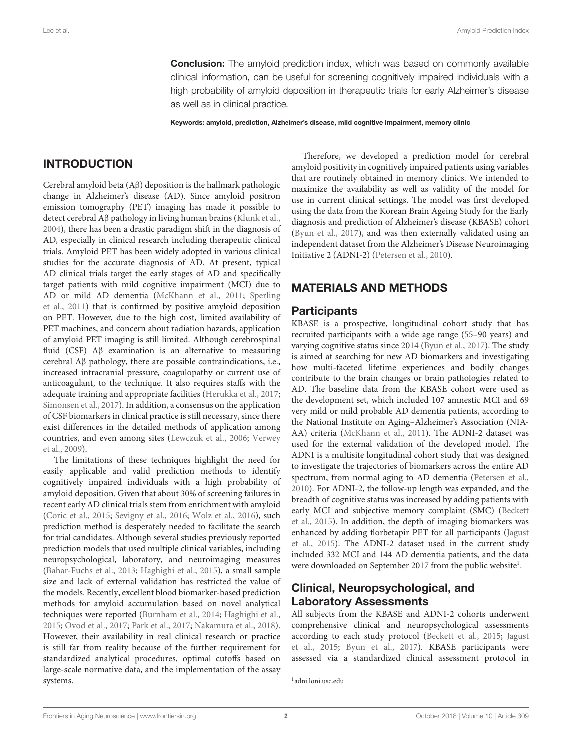**Conclusion:** The amyloid prediction index, which was based on commonly available clinical information, can be useful for screening cognitively impaired individuals with a high probability of amyloid deposition in therapeutic trials for early Alzheimer's disease as well as in clinical practice.

Keywords: amyloid, prediction, Alzheimer's disease, mild cognitive impairment, memory clinic

# INTRODUCTION

Cerebral amyloid beta (Aβ) deposition is the hallmark pathologic change in Alzheimer's disease (AD). Since amyloid positron emission tomography (PET) imaging has made it possible to detect cerebral Aβ pathology in living human brains [\(Klunk et al.,](#page-7-0) [2004\)](#page-7-0), there has been a drastic paradigm shift in the diagnosis of AD, especially in clinical research including therapeutic clinical trials. Amyloid PET has been widely adopted in various clinical studies for the accurate diagnosis of AD. At present, typical AD clinical trials target the early stages of AD and specifically target patients with mild cognitive impairment (MCI) due to AD or mild AD dementia [\(McKhann et al.,](#page-7-1) [2011;](#page-7-1) [Sperling](#page-7-2) [et al.,](#page-7-2) [2011\)](#page-7-2) that is confirmed by positive amyloid deposition on PET. However, due to the high cost, limited availability of PET machines, and concern about radiation hazards, application of amyloid PET imaging is still limited. Although cerebrospinal fluid (CSF) Aβ examination is an alternative to measuring cerebral Aβ pathology, there are possible contraindications, i.e., increased intracranial pressure, coagulopathy or current use of anticoagulant, to the technique. It also requires staffs with the adequate training and appropriate facilities [\(Herukka et al.,](#page-6-0) [2017;](#page-6-0) [Simonsen et al.,](#page-7-3) [2017\)](#page-7-3). In addition, a consensus on the application of CSF biomarkers in clinical practice is still necessary, since there exist differences in the detailed methods of application among countries, and even among sites [\(Lewczuk et al.,](#page-7-4) [2006;](#page-7-4) [Verwey](#page-7-5) [et al.,](#page-7-5) [2009\)](#page-7-5).

The limitations of these techniques highlight the need for easily applicable and valid prediction methods to identify cognitively impaired individuals with a high probability of amyloid deposition. Given that about 30% of screening failures in recent early AD clinical trials stem from enrichment with amyloid [\(Coric et al.,](#page-6-1) [2015;](#page-6-1) [Sevigny et al.,](#page-7-6) [2016;](#page-7-6) [Wolz et al.,](#page-7-7) [2016\)](#page-7-7), such prediction method is desperately needed to facilitate the search for trial candidates. Although several studies previously reported prediction models that used multiple clinical variables, including neuropsychological, laboratory, and neuroimaging measures [\(Bahar-Fuchs et al.,](#page-6-2) [2013;](#page-6-2) [Haghighi et al.,](#page-6-3) [2015\)](#page-6-3), a small sample size and lack of external validation has restricted the value of the models. Recently, excellent blood biomarker-based prediction methods for amyloid accumulation based on novel analytical techniques were reported [\(Burnham et al.,](#page-6-4) [2014;](#page-6-4) [Haghighi et al.,](#page-6-3) [2015;](#page-6-3) [Ovod et al.,](#page-7-8) [2017;](#page-7-8) [Park et al.,](#page-7-9) [2017;](#page-7-9) [Nakamura et al.,](#page-7-10) [2018\)](#page-7-10). However, their availability in real clinical research or practice is still far from reality because of the further requirement for standardized analytical procedures, optimal cutoffs based on large-scale normative data, and the implementation of the assay systems.

Therefore, we developed a prediction model for cerebral amyloid positivity in cognitively impaired patients using variables that are routinely obtained in memory clinics. We intended to maximize the availability as well as validity of the model for use in current clinical settings. The model was first developed using the data from the Korean Brain Ageing Study for the Early diagnosis and prediction of Alzheimer's disease (KBASE) cohort [\(Byun et al.,](#page-6-5) [2017\)](#page-6-5), and was then externally validated using an independent dataset from the Alzheimer's Disease Neuroimaging Initiative 2 (ADNI-2) [\(Petersen et al.,](#page-7-11) [2010\)](#page-7-11).

## MATERIALS AND METHODS

#### **Participants**

KBASE is a prospective, longitudinal cohort study that has recruited participants with a wide age range (55–90 years) and varying cognitive status since 2014 [\(Byun et al.,](#page-6-5) [2017\)](#page-6-5). The study is aimed at searching for new AD biomarkers and investigating how multi-faceted lifetime experiences and bodily changes contribute to the brain changes or brain pathologies related to AD. The baseline data from the KBASE cohort were used as the development set, which included 107 amnestic MCI and 69 very mild or mild probable AD dementia patients, according to the National Institute on Aging–Alzheimer's Association (NIA-AA) criteria [\(McKhann et al.,](#page-7-1) [2011\)](#page-7-1). The ADNI-2 dataset was used for the external validation of the developed model. The ADNI is a multisite longitudinal cohort study that was designed to investigate the trajectories of biomarkers across the entire AD spectrum, from normal aging to AD dementia [\(Petersen et al.,](#page-7-11) [2010\)](#page-7-11). For ADNI-2, the follow-up length was expanded, and the breadth of cognitive status was increased by adding patients with early MCI and subjective memory complaint (SMC) [\(Beckett](#page-6-6) [et al.,](#page-6-6) [2015\)](#page-6-6). In addition, the depth of imaging biomarkers was enhanced by adding florbetapir PET for all participants [\(Jagust](#page-7-12) [et al.,](#page-7-12) [2015\)](#page-7-12). The ADNI-2 dataset used in the current study included 332 MCI and 144 AD dementia patients, and the data were downloaded on September 20[1](#page-1-0)7 from the public website<sup>1</sup>.

# Clinical, Neuropsychological, and Laboratory Assessments

All subjects from the KBASE and ADNI-2 cohorts underwent comprehensive clinical and neuropsychological assessments according to each study protocol [\(Beckett et al.,](#page-6-6) [2015;](#page-6-6) [Jagust](#page-7-12) [et al.,](#page-7-12) [2015;](#page-7-12) [Byun et al.,](#page-6-5) [2017\)](#page-6-5). KBASE participants were assessed via a standardized clinical assessment protocol in

<span id="page-1-0"></span><sup>1</sup> [adni.loni.usc.edu](http://adni.loni.usc.edu)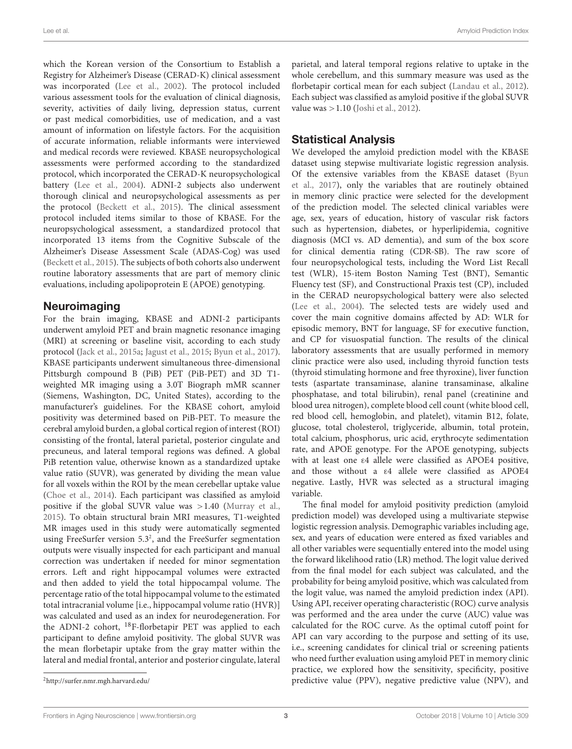which the Korean version of the Consortium to Establish a Registry for Alzheimer's Disease (CERAD-K) clinical assessment was incorporated [\(Lee et al.,](#page-7-13) [2002\)](#page-7-13). The protocol included various assessment tools for the evaluation of clinical diagnosis, severity, activities of daily living, depression status, current or past medical comorbidities, use of medication, and a vast amount of information on lifestyle factors. For the acquisition of accurate information, reliable informants were interviewed and medical records were reviewed. KBASE neuropsychological assessments were performed according to the standardized protocol, which incorporated the CERAD-K neuropsychological battery [\(Lee et al.,](#page-7-14) [2004\)](#page-7-14). ADNI-2 subjects also underwent thorough clinical and neuropsychological assessments as per the protocol [\(Beckett et al.,](#page-6-6) [2015\)](#page-6-6). The clinical assessment protocol included items similar to those of KBASE. For the neuropsychological assessment, a standardized protocol that incorporated 13 items from the Cognitive Subscale of the Alzheimer's Disease Assessment Scale (ADAS-Cog) was used [\(Beckett et al.,](#page-6-6) [2015\)](#page-6-6). The subjects of both cohorts also underwent routine laboratory assessments that are part of memory clinic evaluations, including apolipoprotein E (APOE) genotyping.

#### Neuroimaging

For the brain imaging, KBASE and ADNI-2 participants underwent amyloid PET and brain magnetic resonance imaging (MRI) at screening or baseline visit, according to each study protocol [\(Jack et al.,](#page-6-7) [2015a;](#page-6-7) [Jagust et al.,](#page-7-12) [2015;](#page-7-12) [Byun et al.,](#page-6-5) [2017\)](#page-6-5). KBASE participants underwent simultaneous three-dimensional Pittsburgh compound B (PiB) PET (PiB-PET) and 3D T1 weighted MR imaging using a 3.0T Biograph mMR scanner (Siemens, Washington, DC, United States), according to the manufacturer's guidelines. For the KBASE cohort, amyloid positivity was determined based on PiB-PET. To measure the cerebral amyloid burden, a global cortical region of interest (ROI) consisting of the frontal, lateral parietal, posterior cingulate and precuneus, and lateral temporal regions was defined. A global PiB retention value, otherwise known as a standardized uptake value ratio (SUVR), was generated by dividing the mean value for all voxels within the ROI by the mean cerebellar uptake value [\(Choe et al.,](#page-6-8) [2014\)](#page-6-8). Each participant was classified as amyloid positive if the global SUVR value was >1.40 [\(Murray et al.,](#page-7-15) [2015\)](#page-7-15). To obtain structural brain MRI measures, T1-weighted MR images used in this study were automatically segmented using FreeSurfer version 5.3<sup>[2](#page-2-0)</sup>, and the FreeSurfer segmentation outputs were visually inspected for each participant and manual correction was undertaken if needed for minor segmentation errors. Left and right hippocampal volumes were extracted and then added to yield the total hippocampal volume. The percentage ratio of the total hippocampal volume to the estimated total intracranial volume [i.e., hippocampal volume ratio (HVR)] was calculated and used as an index for neurodegeneration. For the ADNI-2 cohort, <sup>18</sup>F-florbetapir PET was applied to each participant to define amyloid positivity. The global SUVR was the mean florbetapir uptake from the gray matter within the lateral and medial frontal, anterior and posterior cingulate, lateral

parietal, and lateral temporal regions relative to uptake in the whole cerebellum, and this summary measure was used as the florbetapir cortical mean for each subject [\(Landau et al.,](#page-7-16) [2012\)](#page-7-16). Each subject was classified as amyloid positive if the global SUVR value was >1.10 [\(Joshi et al.,](#page-7-17) [2012\)](#page-7-17).

# Statistical Analysis

We developed the amyloid prediction model with the KBASE dataset using stepwise multivariate logistic regression analysis. Of the extensive variables from the KBASE dataset [\(Byun](#page-6-5) [et al.,](#page-6-5) [2017\)](#page-6-5), only the variables that are routinely obtained in memory clinic practice were selected for the development of the prediction model. The selected clinical variables were age, sex, years of education, history of vascular risk factors such as hypertension, diabetes, or hyperlipidemia, cognitive diagnosis (MCI vs. AD dementia), and sum of the box score for clinical dementia rating (CDR-SB). The raw score of four neuropsychological tests, including the Word List Recall test (WLR), 15-item Boston Naming Test (BNT), Semantic Fluency test (SF), and Constructional Praxis test (CP), included in the CERAD neuropsychological battery were also selected [\(Lee et al.,](#page-7-14) [2004\)](#page-7-14). The selected tests are widely used and cover the main cognitive domains affected by AD: WLR for episodic memory, BNT for language, SF for executive function, and CP for visuospatial function. The results of the clinical laboratory assessments that are usually performed in memory clinic practice were also used, including thyroid function tests (thyroid stimulating hormone and free thyroxine), liver function tests (aspartate transaminase, alanine transaminase, alkaline phosphatase, and total bilirubin), renal panel (creatinine and blood urea nitrogen), complete blood cell count (white blood cell, red blood cell, hemoglobin, and platelet), vitamin B12, folate, glucose, total cholesterol, triglyceride, albumin, total protein, total calcium, phosphorus, uric acid, erythrocyte sedimentation rate, and APOE genotype. For the APOE genotyping, subjects with at least one ε4 allele were classified as APOE4 positive, and those without a ε4 allele were classified as APOE4 negative. Lastly, HVR was selected as a structural imaging variable.

The final model for amyloid positivity prediction (amyloid prediction model) was developed using a multivariate stepwise logistic regression analysis. Demographic variables including age, sex, and years of education were entered as fixed variables and all other variables were sequentially entered into the model using the forward likelihood ratio (LR) method. The logit value derived from the final model for each subject was calculated, and the probability for being amyloid positive, which was calculated from the logit value, was named the amyloid prediction index (API). Using API, receiver operating characteristic (ROC) curve analysis was performed and the area under the curve (AUC) value was calculated for the ROC curve. As the optimal cutoff point for API can vary according to the purpose and setting of its use, i.e., screening candidates for clinical trial or screening patients who need further evaluation using amyloid PET in memory clinic practice, we explored how the sensitivity, specificity, positive predictive value (PPV), negative predictive value (NPV), and

<span id="page-2-0"></span><sup>2</sup><http://surfer.nmr.mgh.harvard.edu/>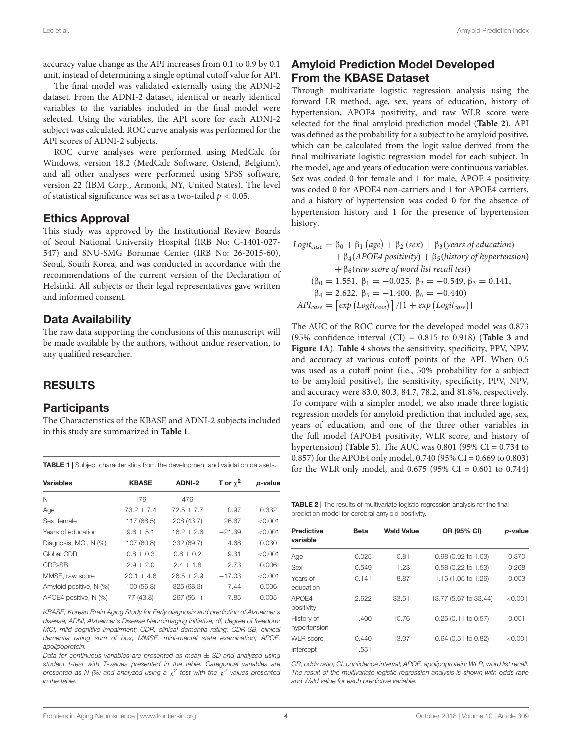accuracy value change as the API increases from 0.1 to 0.9 by 0.1 unit, instead of determining a single optimal cutoff value for API.

The final model was validated externally using the ADNI-2 dataset. From the ADNI-2 dataset, identical or nearly identical variables to the variables included in the final model were selected. Using the variables, the API score for each ADNI-2 subject was calculated. ROC curve analysis was performed for the API scores of ADNI-2 subjects.

ROC curve analyses were performed using MedCalc for Windows, version 18.2 (MedCalc Software, Ostend, Belgium), and all other analyses were performed using SPSS software, version 22 (IBM Corp., Armonk, NY, United States). The level of statistical significance was set as a two-tailed  $p < 0.05$ .

#### Ethics Approval

This study was approved by the Institutional Review Boards of Seoul National University Hospital (IRB No: C-1401-027- 547) and SNU-SMG Boramae Center (IRB No: 26-2015-60), Seoul, South Korea, and was conducted in accordance with the recommendations of the current version of the Declaration of Helsinki. All subjects or their legal representatives gave written and informed consent.

## Data Availability

The raw data supporting the conclusions of this manuscript will be made available by the authors, without undue reservation, to any qualified researcher.

## RESULTS

#### **Participants**

The Characteristics of the KBASE and ADNI-2 subjects included in this study are summarized in **[Table 1](#page-3-0)**.

<span id="page-3-0"></span>**TABLE 1** | Subject characteristics from the development and validation datasets.

| <b>Variables</b>        | <b>KBASE</b>   | ADNI-2         | T or $\chi^2$ | p-value |
|-------------------------|----------------|----------------|---------------|---------|
| N                       | 176            | 476            |               |         |
| Age                     | $73.2 \pm 7.4$ | $72.5 \pm 7.7$ | 0.97          | 0.332   |
| Sex, female             | 117 (66.5)     | 208 (43.7)     | 26.67         | < 0.001 |
| Years of education      | $9.6 \pm 5.1$  | $16.2 \pm 2.6$ | $-21.39$      | < 0.001 |
| Diagnosis, MCI, N (%)   | 107 (60.8)     | 332 (69.7)     | 4.68          | 0.030   |
| Global CDR              | $0.8 \pm 0.3$  | $0.6 \pm 0.2$  | 9.31          | < 0.001 |
| CDR-SB                  | $2.9 \pm 2.0$  | $2.4 + 1.8$    | 2.73          | 0.006   |
| MMSE, raw score         | $20.1 \pm 4.6$ | $26.5 \pm 2.9$ | $-17.03$      | < 0.001 |
| Amyloid positive, N (%) | 100 (56.8)     | 325 (68.3)     | 7.44          | 0.006   |
| APOE4 positive, N (%)   | 77 (43.8)      | 267 (56.1)     | 7.85          | 0.005   |

KBASE, Korean Brain Aging Study for Early diagnosis and prediction of Alzheimer's disease; ADNI, Alzheimer's Disease Neuroimaging Initiative; df, degree of freedom; MCI, mild cognitive impairment; CDR, clinical dementia rating; CDR-SB, clinical dementia rating sum of box; MMSE, mini-mental state examination; APOE, apolipoprotein.

Data for continuous variables are presented as mean  $\pm$  SD and analyzed using student t-test with T-values presented in the table. Categorical variables are presented as N (%) and analyzed using a  $\chi^2$  test with the  $\chi^2$  values presented in the table.

# Amyloid Prediction Model Developed From the KBASE Dataset

Through multivariate logistic regression analysis using the forward LR method, age, sex, years of education, history of hypertension, APOE4 positivity, and raw WLR score were selected for the final amyloid prediction model (**[Table 2](#page-3-1)**). API was defined as the probability for a subject to be amyloid positive, which can be calculated from the logit value derived from the final multivariate logistic regression model for each subject. In the model, age and years of education were continuous variables. Sex was coded 0 for female and 1 for male, APOE 4 positivity was coded 0 for APOE4 non-carriers and 1 for APOE4 carriers, and a history of hypertension was coded 0 for the absence of hypertension history and 1 for the presence of hypertension history.

Logit<sub>case</sub> =  $\beta_0 + \beta_1 \left( age \right) + \beta_2 \left( sex \right) + \beta_3 \left( years \ of \ education \right)$  $+ \beta_4$ (APOE4 positivity)  $+ \beta_5$ (history of hypertension)  $+ \beta_6$ (raw score of word list recall test)  $(\beta_0 = 1.551, \beta_1 = -0.025, \beta_2 = -0.549, \beta_3 = 0.141,$  $\beta_4 = 2.622, \ \beta_5 = -1.400, \ \beta_6 = -0.440$  $API_{case} = [exp (Logit_{case})] / [1 + exp (Logit_{case})]$ 

The AUC of the ROC curve for the developed model was 0.873 (95% confidence interval (CI) = 0.815 to 0.918) (**[Table 3](#page-4-0)** and **[Figure 1A](#page-4-1)**). **[Table 4](#page-5-0)** shows the sensitivity, specificity, PPV, NPV, and accuracy at various cutoff points of the API. When 0.5 was used as a cutoff point (i.e., 50% probability for a subject to be amyloid positive), the sensitivity, specificity, PPV, NPV, and accuracy were 83.0, 80.3, 84.7, 78.2, and 81.8%, respectively. To compare with a simpler model, we also made three logistic regression models for amyloid prediction that included age, sex, years of education, and one of the three other variables in the full model (APOE4 positivity, WLR score, and history of hypertension) (**[Table 5](#page-5-1)**). The AUC was 0.801 (95% CI = 0.734 to 0.857) for the APOE4 only model, 0.740 (95% CI = 0.669 to 0.803) for the WLR only model, and  $0.675$  (95% CI = 0.601 to 0.744)

<span id="page-3-1"></span>

| <b>TABLE 2</b>   The results of multivariate logistic regression analysis for the final |
|-----------------------------------------------------------------------------------------|
| prediction model for cerebral amyloid positivity.                                       |

| <b>Predictive</b><br>variable | Beta     | <b>Wald Value</b> | OR (95% CI)           | p-value |
|-------------------------------|----------|-------------------|-----------------------|---------|
| Age                           | $-0.025$ | 0.81              | 0.98 (0.92 to 1.03)   | 0.370   |
| Sex                           | $-0.549$ | 1.23              | 0.58 (0.22 to 1.53)   | 0.268   |
| Years of<br>education         | 0.141    | 8.87              | 1.15 (1.05 to 1.26)   | 0.003   |
| APOE4<br>positivity           | 2.622    | 33.51             | 13.77 (5.67 to 33.44) | < 0.001 |
| History of<br>hypertension    | $-1.400$ | 10.76             | 0.25 (0.11 to 0.57)   | 0.001   |
| WLR score                     | $-0.440$ | 13.07             | 0.64 (0.51 to 0.82)   | < 0.001 |
| Intercept                     | 1.551    |                   |                       |         |

OR, odds ratio; CI, confidence interval; APOE, apolipoprotein; WLR, word list recall. The result of the multivariate logistic regression analysis is shown with odds ratio and Wald value for each predictive variable.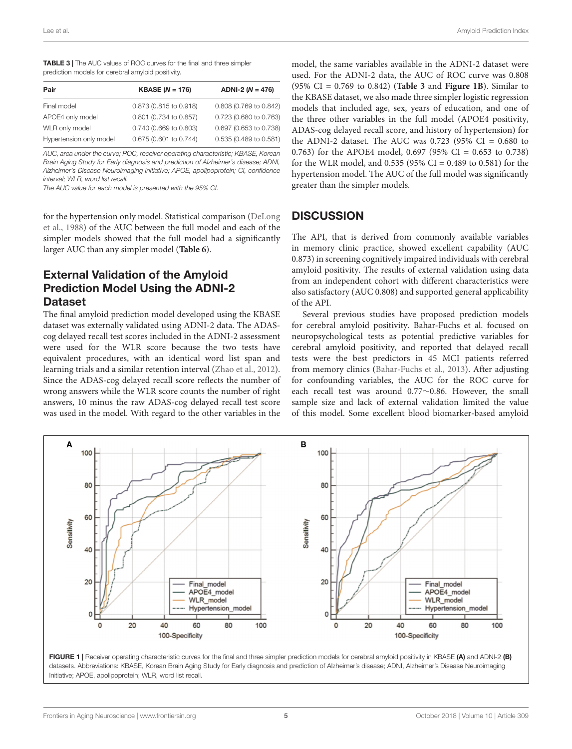<span id="page-4-0"></span>

| <b>TABLE 3</b>   The AUC values of ROC curves for the final and three simpler |  |
|-------------------------------------------------------------------------------|--|
| prediction models for cerebral amyloid positivity.                            |  |

| Pair                    | KBASE ( $N = 176$ )    | $ADNI-2 (N = 476)$     |
|-------------------------|------------------------|------------------------|
| Final model             | 0.873 (0.815 to 0.918) | 0.808 (0.769 to 0.842) |
| APOE4 only model        | 0.801 (0.734 to 0.857) | 0.723 (0.680 to 0.763) |
| WLR only model          | 0.740 (0.669 to 0.803) | 0.697 (0.653 to 0.738) |
| Hypertension only model | 0.675 (0.601 to 0.744) | 0.535 (0.489 to 0.581) |

AUC, area under the curve; ROC, receiver operating characteristic; KBASE, Korean Brain Aging Study for Early diagnosis and prediction of Alzheimer's disease; ADNI, Alzheimer's Disease Neuroimaging Initiative; APOE, apolipoprotein; CI, confidence interval; WLR, word list recall.

The AUC value for each model is presented with the 95% CI.

for the hypertension only model. Statistical comparison [\(DeLong](#page-6-9) [et al.,](#page-6-9) [1988\)](#page-6-9) of the AUC between the full model and each of the simpler models showed that the full model had a significantly larger AUC than any simpler model (**[Table 6](#page-5-2)**).

# External Validation of the Amyloid Prediction Model Using the ADNI-2 **Dataset**

The final amyloid prediction model developed using the KBASE dataset was externally validated using ADNI-2 data. The ADAScog delayed recall test scores included in the ADNI-2 assessment were used for the WLR score because the two tests have equivalent procedures, with an identical word list span and learning trials and a similar retention interval [\(Zhao et al.,](#page-7-18) [2012\)](#page-7-18). Since the ADAS-cog delayed recall score reflects the number of wrong answers while the WLR score counts the number of right answers, 10 minus the raw ADAS-cog delayed recall test score was used in the model. With regard to the other variables in the

model, the same variables available in the ADNI-2 dataset were used. For the ADNI-2 data, the AUC of ROC curve was 0.808 (95% CI = 0.769 to 0.842) (**[Table 3](#page-4-0)** and **[Figure 1B](#page-4-1)**). Similar to the KBASE dataset, we also made three simpler logistic regression models that included age, sex, years of education, and one of the three other variables in the full model (APOE4 positivity, ADAS-cog delayed recall score, and history of hypertension) for the ADNI-2 dataset. The AUC was  $0.723$  (95% CI =  $0.680$  to 0.763) for the APOE4 model, 0.697 (95% CI = 0.653 to 0.738) for the WLR model, and 0.535 (95% CI = 0.489 to 0.581) for the hypertension model. The AUC of the full model was significantly greater than the simpler models.

# **DISCUSSION**

The API, that is derived from commonly available variables in memory clinic practice, showed excellent capability (AUC 0.873) in screening cognitively impaired individuals with cerebral amyloid positivity. The results of external validation using data from an independent cohort with different characteristics were also satisfactory (AUC 0.808) and supported general applicability of the API.

Several previous studies have proposed prediction models for cerebral amyloid positivity. Bahar-Fuchs et al. focused on neuropsychological tests as potential predictive variables for cerebral amyloid positivity, and reported that delayed recall tests were the best predictors in 45 MCI patients referred from memory clinics [\(Bahar-Fuchs et al.,](#page-6-2) [2013\)](#page-6-2). After adjusting for confounding variables, the AUC for the ROC curve for each recall test was around 0.77∼0.86. However, the small sample size and lack of external validation limited the value of this model. Some excellent blood biomarker-based amyloid



<span id="page-4-1"></span>FIGURE 1 | Receiver operating characteristic curves for the final and three simpler prediction models for cerebral amyloid positivity in KBASE (A) and ADNI-2 (B) datasets. Abbreviations: KBASE, Korean Brain Aging Study for Early diagnosis and prediction of Alzheimer's disease; ADNI, Alzheimer's Disease Neuroimaging Initiative; APOE, apolipoprotein; WLR, word list recall.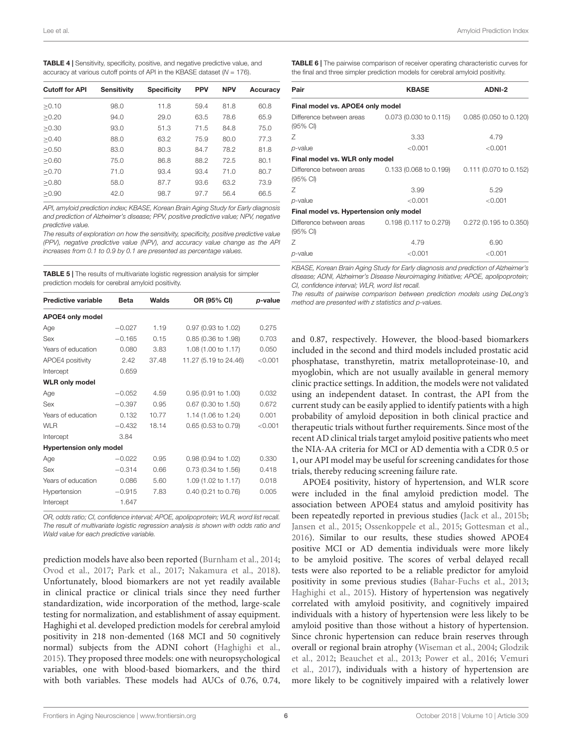<span id="page-5-0"></span>

| <b>TABLE 4</b> Sensitivity, specificity, positive, and negative predictive value, and |
|---------------------------------------------------------------------------------------|
| accuracy at various cutoff points of API in the KBASE dataset $(N = 176)$ .           |

| <b>Cutoff for API</b> | Sensitivity | <b>Specificity</b> | <b>PPV</b> | <b>NPV</b> | Accuracv |
|-----------------------|-------------|--------------------|------------|------------|----------|
| >0.10                 | 98.0        | 11.8               | 59.4       | 81.8       | 60.8     |
| >0.20                 | 94.0        | 29.0               | 63.5       | 78.6       | 65.9     |
| >0.30                 | 93.0        | 51.3               | 71.5       | 84.8       | 75.0     |
| >0.40                 | 88.0        | 63.2               | 75.9       | 80.0       | 77.3     |
| >0.50                 | 83.0        | 80.3               | 84.7       | 78.2       | 81.8     |
| >0.60                 | 75.0        | 86.8               | 88.2       | 72.5       | 80.1     |
| >0.70                 | 71.0        | 93.4               | 93.4       | 71.0       | 80.7     |
| >0.80                 | 58.0        | 87.7               | 93.6       | 63.2       | 73.9     |
| >0.90                 | 42.0        | 98.7               | 97.7       | 56.4       | 66.5     |

API, amyloid prediction index; KBASE, Korean Brain Aging Study for Early diagnosis and prediction of Alzheimer's disease; PPV, positive predictive value; NPV, negative predictive value.

The results of exploration on how the sensitivity, specificity, positive predictive value (PPV), negative predictive value (NPV), and accuracy value change as the API increases from 0.1 to 0.9 by 0.1 are presented as percentage values.

<span id="page-5-1"></span>TABLE 5 | The results of multivariate logistic regression analysis for simpler prediction models for cerebral amyloid positivity.

| <b>Predictive variable</b>     | <b>Beta</b> | Walds | OR (95% CI)           | <i>p</i> -value |
|--------------------------------|-------------|-------|-----------------------|-----------------|
| <b>APOE4 only model</b>        |             |       |                       |                 |
| Age                            | $-0.027$    | 1.19  | 0.97 (0.93 to 1.02)   | 0.275           |
| Sex                            | $-0.165$    | 0.15  | 0.85 (0.36 to 1.98)   | 0.703           |
| Years of education             | 0.080       | 3.83  | 1.08 (1.00 to 1.17)   | 0.050           |
| APOE4 positivity               | 2.42        | 37.48 | 11.27 (5.19 to 24.46) | < 0.001         |
| Intercept                      | 0.659       |       |                       |                 |
| <b>WLR only model</b>          |             |       |                       |                 |
| Age                            | $-0.052$    | 4.59  | 0.95 (0.91 to 1.00)   | 0.032           |
| Sex                            | $-0.397$    | 0.95  | 0.67 (0.30 to 1.50)   | 0.672           |
| Years of education             | 0.132       | 10.77 | 1.14 (1.06 to 1.24)   | 0.001           |
| <b>WLR</b>                     | $-0.432$    | 18.14 | $0.65$ (0.53 to 0.79) | < 0.001         |
| Intercept                      | 3.84        |       |                       |                 |
| <b>Hypertension only model</b> |             |       |                       |                 |
| Age                            | $-0.022$    | 0.95  | 0.98 (0.94 to 1.02)   | 0.330           |
| Sex                            | $-0.314$    | 0.66  | 0.73 (0.34 to 1.56)   | 0.418           |
| Years of education             | 0.086       | 5.60  | 1.09 (1.02 to 1.17)   | 0.018           |
| Hypertension                   | $-0.915$    | 7.83  | $0.40$ (0.21 to 0.76) | 0.005           |
| Intercept                      | 1.647       |       |                       |                 |
|                                |             |       |                       |                 |

OR, odds ratio; CI, confidence interval; APOE, apolipoprotein; WLR, word list recall. The result of multivariate logistic regression analysis is shown with odds ratio and Wald value for each predictive variable.

prediction models have also been reported [\(Burnham et al.,](#page-6-4) [2014;](#page-6-4) [Ovod et al.,](#page-7-8) [2017;](#page-7-8) [Park et al.,](#page-7-9) [2017;](#page-7-9) [Nakamura et al.,](#page-7-10) [2018\)](#page-7-10). Unfortunately, blood biomarkers are not yet readily available in clinical practice or clinical trials since they need further standardization, wide incorporation of the method, large-scale testing for normalization, and establishment of assay equipment. Haghighi et al. developed prediction models for cerebral amyloid positivity in 218 non-demented (168 MCI and 50 cognitively normal) subjects from the ADNI cohort [\(Haghighi et al.,](#page-6-3) [2015\)](#page-6-3). They proposed three models: one with neuropsychological variables, one with blood-based biomarkers, and the third with both variables. These models had AUCs of 0.76, 0.74,

<span id="page-5-2"></span>TABLE 6 | The pairwise comparison of receiver operating characteristic curves for the final and three simpler prediction models for cerebral amyloid positivity.

| Pair                                           | <b>KBASE</b>             | ADNI-2                 |  |  |  |  |
|------------------------------------------------|--------------------------|------------------------|--|--|--|--|
| Final model vs. APOE4 only model               |                          |                        |  |  |  |  |
| Difference between areas<br>$(95% \text{ Cl})$ | 0.073 (0.030 to 0.115)   | 0.085 (0.050 to 0.120) |  |  |  |  |
| Ζ                                              | 3.33                     | 4.79                   |  |  |  |  |
| $p$ -value                                     | < 0.001                  | < 0.001                |  |  |  |  |
| Final model vs. WLR only model                 |                          |                        |  |  |  |  |
| Difference between areas<br>$(95% \text{ Cl})$ | 0.133 (0.068 to 0.199)   | 0.111 (0.070 to 0.152) |  |  |  |  |
| Ζ                                              | 3.99                     | 5.29                   |  |  |  |  |
| $p$ -value                                     | < 0.001                  | < 0.001                |  |  |  |  |
| Final model vs. Hypertension only model        |                          |                        |  |  |  |  |
| Difference between areas<br>$(95% \text{ Cl})$ | $0.198$ (0.117 to 0.279) | 0.272 (0.195 to 0.350) |  |  |  |  |
| Ζ                                              | 4.79                     | 6.90                   |  |  |  |  |
| p-value                                        | < 0.001                  | < 0.001                |  |  |  |  |

KBASE, Korean Brain Aging Study for Early diagnosis and prediction of Alzheimer's disease; ADNI, Alzheimer's Disease Neuroimaging Initiative; APOE, apolipoprotein; CI, confidence interval; WLR, word list recall.

The results of pairwise comparison between prediction models using DeLong's method are presented with z statistics and p-values.

and 0.87, respectively. However, the blood-based biomarkers included in the second and third models included prostatic acid phosphatase, transthyretin, matrix metalloproteinase-10, and myoglobin, which are not usually available in general memory clinic practice settings. In addition, the models were not validated using an independent dataset. In contrast, the API from the current study can be easily applied to identify patients with a high probability of amyloid deposition in both clinical practice and therapeutic trials without further requirements. Since most of the recent AD clinical trials target amyloid positive patients who meet the NIA-AA criteria for MCI or AD dementia with a CDR 0.5 or 1, our API model may be useful for screening candidates for those trials, thereby reducing screening failure rate.

APOE4 positivity, history of hypertension, and WLR score were included in the final amyloid prediction model. The association between APOE4 status and amyloid positivity has been repeatedly reported in previous studies [\(Jack et al.,](#page-6-10) [2015b;](#page-6-10) [Jansen et al.,](#page-7-19) [2015;](#page-7-19) [Ossenkoppele et al.,](#page-7-20) [2015;](#page-7-20) [Gottesman et al.,](#page-6-11) [2016\)](#page-6-11). Similar to our results, these studies showed APOE4 positive MCI or AD dementia individuals were more likely to be amyloid positive. The scores of verbal delayed recall tests were also reported to be a reliable predictor for amyloid positivity in some previous studies [\(Bahar-Fuchs et al.,](#page-6-2) [2013;](#page-6-2) [Haghighi et al.,](#page-6-3) [2015\)](#page-6-3). History of hypertension was negatively correlated with amyloid positivity, and cognitively impaired individuals with a history of hypertension were less likely to be amyloid positive than those without a history of hypertension. Since chronic hypertension can reduce brain reserves through overall or regional brain atrophy [\(Wiseman et al.,](#page-7-21) [2004;](#page-7-21) [Glodzik](#page-6-12) [et al.,](#page-6-12) [2012;](#page-6-12) [Beauchet et al.,](#page-6-13) [2013;](#page-6-13) [Power et al.,](#page-7-22) [2016;](#page-7-22) [Vemuri](#page-7-23) [et al.,](#page-7-23) [2017\)](#page-7-23), individuals with a history of hypertension are more likely to be cognitively impaired with a relatively lower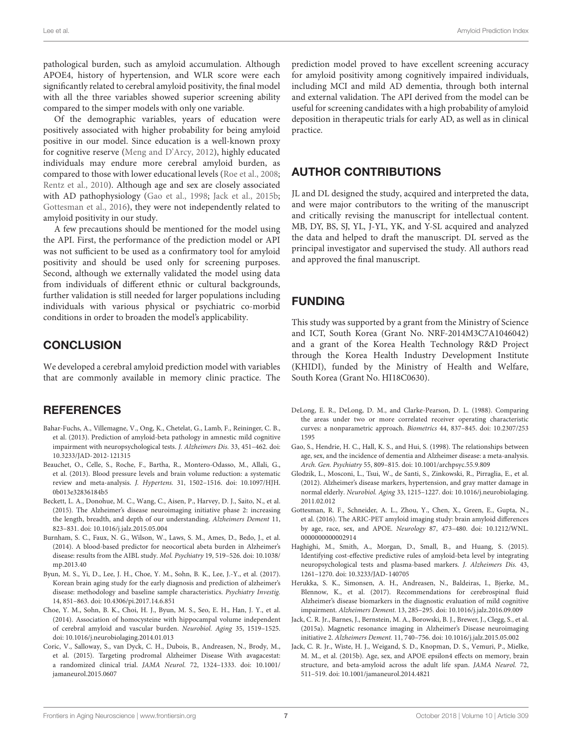pathological burden, such as amyloid accumulation. Although APOE4, history of hypertension, and WLR score were each significantly related to cerebral amyloid positivity, the final model with all the three variables showed superior screening ability compared to the simper models with only one variable.

Of the demographic variables, years of education were positively associated with higher probability for being amyloid positive in our model. Since education is a well-known proxy for cognitive reserve [\(Meng and D'Arcy,](#page-7-24) [2012\)](#page-7-24), highly educated individuals may endure more cerebral amyloid burden, as compared to those with lower educational levels [\(Roe et al.,](#page-7-25) [2008;](#page-7-25) [Rentz et al.,](#page-7-26) [2010\)](#page-7-26). Although age and sex are closely associated with AD pathophysiology [\(Gao et al.,](#page-6-14) [1998;](#page-6-14) [Jack et al.,](#page-6-10) [2015b;](#page-6-10) [Gottesman et al.,](#page-6-11) [2016\)](#page-6-11), they were not independently related to amyloid positivity in our study.

A few precautions should be mentioned for the model using the API. First, the performance of the prediction model or API was not sufficient to be used as a confirmatory tool for amyloid positivity and should be used only for screening purposes. Second, although we externally validated the model using data from individuals of different ethnic or cultural backgrounds, further validation is still needed for larger populations including individuals with various physical or psychiatric co-morbid conditions in order to broaden the model's applicability.

#### **CONCLUSION**

We developed a cerebral amyloid prediction model with variables that are commonly available in memory clinic practice. The

## **REFERENCES**

- <span id="page-6-2"></span>Bahar-Fuchs, A., Villemagne, V., Ong, K., Chetelat, G., Lamb, F., Reininger, C. B., et al. (2013). Prediction of amyloid-beta pathology in amnestic mild cognitive impairment with neuropsychological tests. J. Alzheimers Dis. 33, 451–462. [doi:](https://doi.org/10.3233/JAD-2012-121315) [10.3233/JAD-2012-121315](https://doi.org/10.3233/JAD-2012-121315)
- <span id="page-6-13"></span>Beauchet, O., Celle, S., Roche, F., Bartha, R., Montero-Odasso, M., Allali, G., et al. (2013). Blood pressure levels and brain volume reduction: a systematic review and meta-analysis. J. Hypertens. 31, 1502–1516. [doi: 10.1097/HJH.](https://doi.org/10.1097/HJH.0b013e32836184b5) [0b013e32836184b5](https://doi.org/10.1097/HJH.0b013e32836184b5)
- <span id="page-6-6"></span>Beckett, L. A., Donohue, M. C., Wang, C., Aisen, P., Harvey, D. J., Saito, N., et al. (2015). The Alzheimer's disease neuroimaging initiative phase 2: increasing the length, breadth, and depth of our understanding. Alzheimers Dement 11, 823–831. [doi: 10.1016/j.jalz.2015.05.004](https://doi.org/10.1016/j.jalz.2015.05.004)
- <span id="page-6-4"></span>Burnham, S. C., Faux, N. G., Wilson, W., Laws, S. M., Ames, D., Bedo, J., et al. (2014). A blood-based predictor for neocortical abeta burden in Alzheimer's disease: results from the AIBL study. Mol. Psychiatry 19, 519–526. [doi: 10.1038/](https://doi.org/10.1038/mp.2013.40) [mp.2013.40](https://doi.org/10.1038/mp.2013.40)
- <span id="page-6-5"></span>Byun, M. S., Yi, D., Lee, J. H., Choe, Y. M., Sohn, B. K., Lee, J.-Y., et al. (2017). Korean brain aging study for the early diagnosis and prediction of alzheimer's disease: methodology and baseline sample characteristics. Psychiatry Investig. 14, 851–863. [doi: 10.4306/pi.2017.14.6.851](https://doi.org/10.4306/pi.2017.14.6.851)
- <span id="page-6-8"></span>Choe, Y. M., Sohn, B. K., Choi, H. J., Byun, M. S., Seo, E. H., Han, J. Y., et al. (2014). Association of homocysteine with hippocampal volume independent of cerebral amyloid and vascular burden. Neurobiol. Aging 35, 1519–1525. [doi: 10.1016/j.neurobiolaging.2014.01.013](https://doi.org/10.1016/j.neurobiolaging.2014.01.013)
- <span id="page-6-1"></span>Coric, V., Salloway, S., van Dyck, C. H., Dubois, B., Andreasen, N., Brody, M., et al. (2015). Targeting prodromal Alzheimer Disease With avagacestat: a randomized clinical trial. JAMA Neurol. 72, 1324–1333. [doi: 10.1001/](https://doi.org/10.1001/jamaneurol.2015.0607) [jamaneurol.2015.0607](https://doi.org/10.1001/jamaneurol.2015.0607)

prediction model proved to have excellent screening accuracy for amyloid positivity among cognitively impaired individuals, including MCI and mild AD dementia, through both internal and external validation. The API derived from the model can be useful for screening candidates with a high probability of amyloid deposition in therapeutic trials for early AD, as well as in clinical practice.

#### AUTHOR CONTRIBUTIONS

JL and DL designed the study, acquired and interpreted the data, and were major contributors to the writing of the manuscript and critically revising the manuscript for intellectual content. MB, DY, BS, SJ, YL, J-YL, YK, and Y-SL acquired and analyzed the data and helped to draft the manuscript. DL served as the principal investigator and supervised the study. All authors read and approved the final manuscript.

#### FUNDING

This study was supported by a grant from the Ministry of Science and ICT, South Korea (Grant No. NRF-2014M3C7A1046042) and a grant of the Korea Health Technology R&D Project through the Korea Health Industry Development Institute (KHIDI), funded by the Ministry of Health and Welfare, South Korea (Grant No. HI18C0630).

- <span id="page-6-9"></span>DeLong, E. R., DeLong, D. M., and Clarke-Pearson, D. L. (1988). Comparing the areas under two or more correlated receiver operating characteristic curves: a nonparametric approach. Biometrics 44, 837–845. [doi: 10.2307/253](https://doi.org/10.2307/2531595) [1595](https://doi.org/10.2307/2531595)
- <span id="page-6-14"></span>Gao, S., Hendrie, H. C., Hall, K. S., and Hui, S. (1998). The relationships between age, sex, and the incidence of dementia and Alzheimer disease: a meta-analysis. Arch. Gen. Psychiatry 55, 809–815. [doi: 10.1001/archpsyc.55.9.809](https://doi.org/10.1001/archpsyc.55.9.809)
- <span id="page-6-12"></span>Glodzik, L., Mosconi, L., Tsui, W., de Santi, S., Zinkowski, R., Pirraglia, E., et al. (2012). Alzheimer's disease markers, hypertension, and gray matter damage in normal elderly. Neurobiol. Aging 33, 1215–1227. [doi: 10.1016/j.neurobiolaging.](https://doi.org/10.1016/j.neurobiolaging.2011.02.012) [2011.02.012](https://doi.org/10.1016/j.neurobiolaging.2011.02.012)
- <span id="page-6-11"></span>Gottesman, R. F., Schneider, A. L., Zhou, Y., Chen, X., Green, E., Gupta, N., et al. (2016). The ARIC-PET amyloid imaging study: brain amyloid differences by age, race, sex, and APOE. Neurology 87, 473–480. [doi: 10.1212/WNL.](https://doi.org/10.1212/WNL.0000000000002914) [0000000000002914](https://doi.org/10.1212/WNL.0000000000002914)
- <span id="page-6-3"></span>Haghighi, M., Smith, A., Morgan, D., Small, B., and Huang, S. (2015). Identifying cost-effective predictive rules of amyloid-beta level by integrating neuropsychological tests and plasma-based markers. J. Alzheimers Dis. 43, 1261–1270. [doi: 10.3233/JAD-140705](https://doi.org/10.3233/JAD-140705)
- <span id="page-6-0"></span>Herukka, S. K., Simonsen, A. H., Andreasen, N., Baldeiras, I., Bjerke, M., Blennow, K., et al. (2017). Recommendations for cerebrospinal fluid Alzheimer's disease biomarkers in the diagnostic evaluation of mild cognitive impairment. Alzheimers Dement. 13, 285–295. [doi: 10.1016/j.jalz.2016.09.009](https://doi.org/10.1016/j.jalz.2016.09.009)
- <span id="page-6-7"></span>Jack, C. R. Jr., Barnes, J., Bernstein, M. A., Borowski, B. J., Brewer, J., Clegg, S., et al. (2015a). Magnetic resonance imaging in Alzheimer's Disease neuroimaging initiative 2. Alzheimers Dement. 11, 740–756. [doi: 10.1016/j.jalz.2015.05.002](https://doi.org/10.1016/j.jalz.2015.05.002)
- <span id="page-6-10"></span>Jack, C. R. Jr., Wiste, H. J., Weigand, S. D., Knopman, D. S., Vemuri, P., Mielke, M. M., et al. (2015b). Age, sex, and APOE epsilon4 effects on memory, brain structure, and beta-amyloid across the adult life span. JAMA Neurol. 72, 511–519. [doi: 10.1001/jamaneurol.2014.4821](https://doi.org/10.1001/jamaneurol.2014.4821)